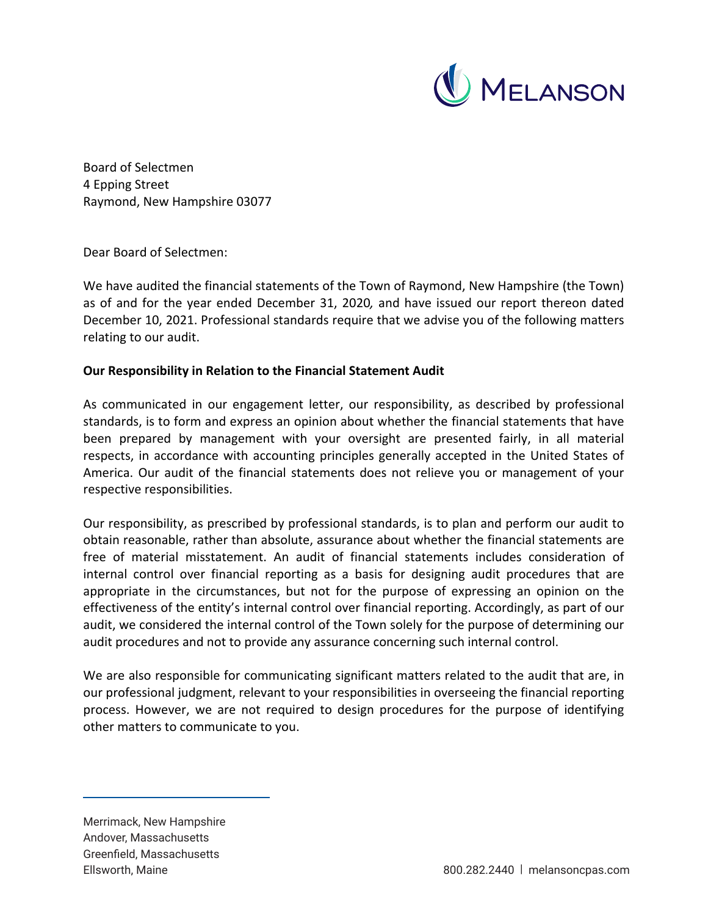

Board of Selectmen 4 Epping Street Raymond, New Hampshire 03077

Dear Board of Selectmen:

We have audited the financial statements of the Town of Raymond, New Hampshire (the Town) as of and for the year ended December 31, 2020*,* and have issued our report thereon dated December 10, 2021. Professional standards require that we advise you of the following matters relating to our audit.

# **Our Responsibility in Relation to the Financial Statement Audit**

As communicated in our engagement letter, our responsibility, as described by professional standards, is to form and express an opinion about whether the financial statements that have been prepared by management with your oversight are presented fairly, in all material respects, in accordance with accounting principles generally accepted in the United States of America. Our audit of the financial statements does not relieve you or management of your respective responsibilities.

Our responsibility, as prescribed by professional standards, is to plan and perform our audit to obtain reasonable, rather than absolute, assurance about whether the financial statements are free of material misstatement. An audit of financial statements includes consideration of internal control over financial reporting as a basis for designing audit procedures that are appropriate in the circumstances, but not for the purpose of expressing an opinion on the effectiveness of the entity's internal control over financial reporting. Accordingly, as part of our audit, we considered the internal control of the Town solely for the purpose of determining our audit procedures and not to provide any assurance concerning such internal control.

We are also responsible for communicating significant matters related to the audit that are, in our professional judgment, relevant to your responsibilities in overseeing the financial reporting process. However, we are not required to design procedures for the purpose of identifying other matters to communicate to you.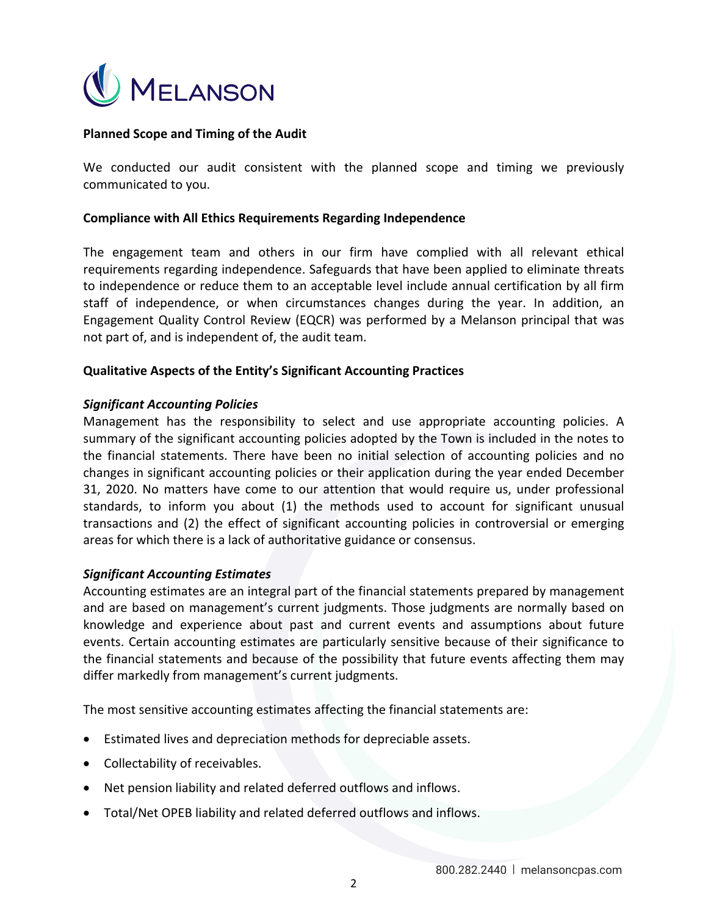

# **Planned Scope and Timing of the Audit**

We conducted our audit consistent with the planned scope and timing we previously communicated to you.

#### **Compliance with All Ethics Requirements Regarding Independence**

The engagement team and others in our firm have complied with all relevant ethical requirements regarding independence. Safeguards that have been applied to eliminate threats to independence or reduce them to an acceptable level include annual certification by all firm staff of independence, or when circumstances changes during the year. In addition, an Engagement Quality Control Review (EQCR) was performed by a Melanson principal that was not part of, and is independent of, the audit team.

## **Qualitative Aspects of the Entity's Significant Accounting Practices**

## *Significant Accounting Policies*

Management has the responsibility to select and use appropriate accounting policies. A summary of the significant accounting policies adopted by the Town is included in the notes to the financial statements. There have been no initial selection of accounting policies and no changes in significant accounting policies or their application during the year ended December 31, 2020. No matters have come to our attention that would require us, under professional standards, to inform you about (1) the methods used to account for significant unusual transactions and (2) the effect of significant accounting policies in controversial or emerging areas for which there is a lack of authoritative guidance or consensus.

#### *Significant Accounting Estimates*

Accounting estimates are an integral part of the financial statements prepared by management and are based on management's current judgments. Those judgments are normally based on knowledge and experience about past and current events and assumptions about future events. Certain accounting estimates are particularly sensitive because of their significance to the financial statements and because of the possibility that future events affecting them may differ markedly from management's current judgments.

The most sensitive accounting estimates affecting the financial statements are:

- Estimated lives and depreciation methods for depreciable assets.
- Collectability of receivables.
- Net pension liability and related deferred outflows and inflows.
- Total/Net OPEB liability and related deferred outflows and inflows.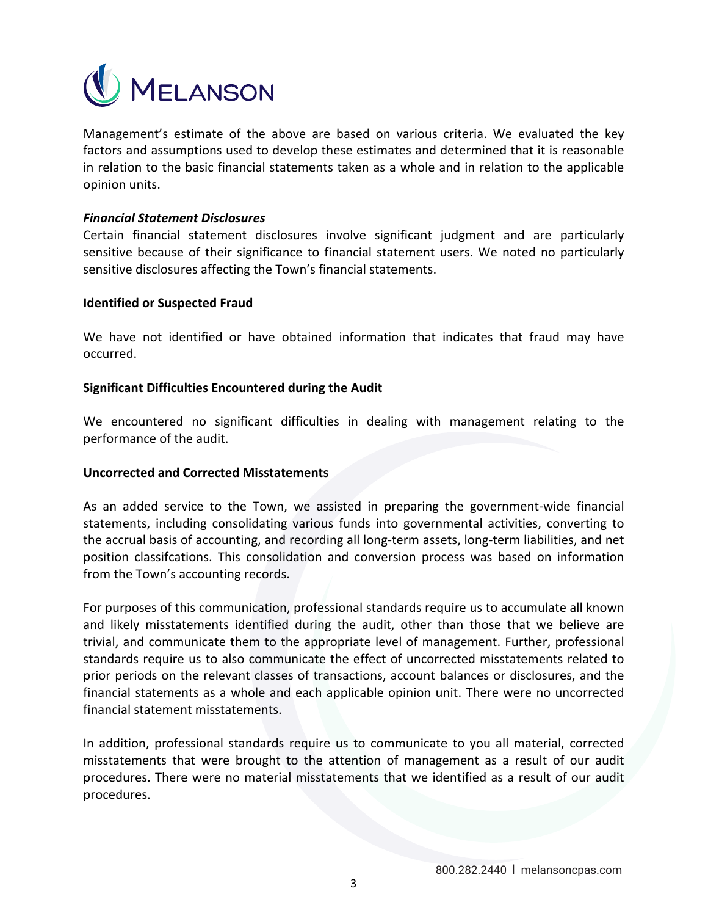

Management's estimate of the above are based on various criteria. We evaluated the key factors and assumptions used to develop these estimates and determined that it is reasonable in relation to the basic financial statements taken as a whole and in relation to the applicable opinion units.

## *Financial Statement Disclosures*

Certain financial statement disclosures involve significant judgment and are particularly sensitive because of their significance to financial statement users. We noted no particularly sensitive disclosures affecting the Town's financial statements.

## **Identified or Suspected Fraud**

We have not identified or have obtained information that indicates that fraud may have occurred.

## **Significant Difficulties Encountered during the Audit**

We encountered no significant difficulties in dealing with management relating to the performance of the audit.

#### **Uncorrected and Corrected Misstatements**

As an added service to the Town, we assisted in preparing the government-wide financial statements, including consolidating various funds into governmental activities, converting to the accrual basis of accounting, and recording all long‐term assets, long‐term liabilities, and net position classifcations. This consolidation and conversion process was based on information from the Town's accounting records.

For purposes of this communication, professional standards require us to accumulate all known and likely misstatements identified during the audit, other than those that we believe are trivial, and communicate them to the appropriate level of management. Further, professional standards require us to also communicate the effect of uncorrected misstatements related to prior periods on the relevant classes of transactions, account balances or disclosures, and the financial statements as a whole and each applicable opinion unit. There were no uncorrected financial statement misstatements.

In addition, professional standards require us to communicate to you all material, corrected misstatements that were brought to the attention of management as a result of our audit procedures. There were no material misstatements that we identified as a result of our audit procedures.